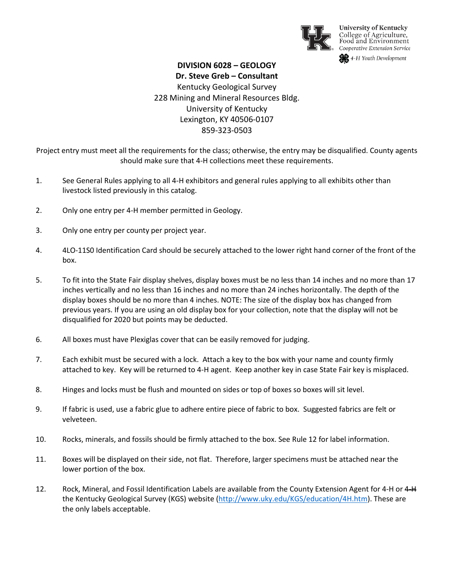

**University of Kentucky** College of Agriculture,<br>Food and Environment Cooperative Extension Service

**SR** 4-H Youth Development

## **DIVISION 6028 – GEOLOGY Dr. Steve Greb – Consultant** Kentucky Geological Survey

228 Mining and Mineral Resources Bldg. University of Kentucky Lexington, KY 40506-0107 859-323-0503

Project entry must meet all the requirements for the class; otherwise, the entry may be disqualified. County agents should make sure that 4-H collections meet these requirements.

- 1. See General Rules applying to all 4-H exhibitors and general rules applying to all exhibits other than livestock listed previously in this catalog.
- 2. Only one entry per 4-H member permitted in Geology.
- 3. Only one entry per county per project year.
- 4. 4LO-11S0 Identification Card should be securely attached to the lower right hand corner of the front of the box.
- 5. To fit into the State Fair display shelves, display boxes must be no less than 14 inches and no more than 17 inches vertically and no less than 16 inches and no more than 24 inches horizontally. The depth of the display boxes should be no more than 4 inches. NOTE: The size of the display box has changed from previous years. If you are using an old display box for your collection, note that the display will not be disqualified for 2020 but points may be deducted.
- 6. All boxes must have Plexiglas cover that can be easily removed for judging.
- 7. Each exhibit must be secured with a lock. Attach a key to the box with your name and county firmly attached to key. Key will be returned to 4-H agent. Keep another key in case State Fair key is misplaced.
- 8. Hinges and locks must be flush and mounted on sides or top of boxes so boxes will sit level.
- 9. If fabric is used, use a fabric glue to adhere entire piece of fabric to box. Suggested fabrics are felt or velveteen.
- 10. Rocks, minerals, and fossils should be firmly attached to the box. See Rule 12 for label information.
- 11. Boxes will be displayed on their side, not flat. Therefore, larger specimens must be attached near the lower portion of the box.
- 12. Rock, Mineral, and Fossil Identification Labels are available from the County Extension Agent for 4-H or 4-H the Kentucky Geological Survey (KGS) website [\(http://www.uky.edu/KGS/education/4H.htm\)](http://www.uky.edu/KGS/education/4H.htm). These are the only labels acceptable.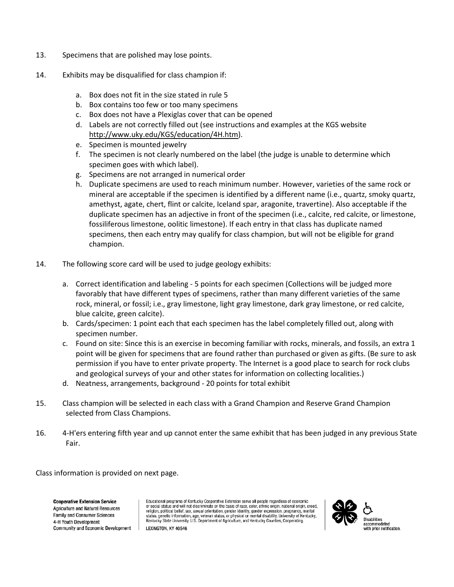- 13. Specimens that are polished may lose points.
- 14. Exhibits may be disqualified for class champion if:
	- a. Box does not fit in the size stated in rule 5
	- b. Box contains too few or too many specimens
	- c. Box does not have a Plexiglas cover that can be opened
	- d. Labels are not correctly filled out (see instructions and examples at the KGS website [http://www.uky.edu/KGS/education/4H.htm\)](http://www.uky.edu/KGS/education/4H.htm).
	- e. Specimen is mounted jewelry
	- f. The specimen is not clearly numbered on the label (the judge is unable to determine which specimen goes with which label).
	- g. Specimens are not arranged in numerical order
	- h. Duplicate specimens are used to reach minimum number. However, varieties of the same rock or mineral are acceptable if the specimen is identified by a different name (i.e., quartz, smoky quartz, amethyst, agate, chert, flint or calcite, Iceland spar, aragonite, travertine). Also acceptable if the duplicate specimen has an adjective in front of the specimen (i.e., calcite, red calcite, or limestone, fossiliferous limestone, oolitic limestone). If each entry in that class has duplicate named specimens, then each entry may qualify for class champion, but will not be eligible for grand champion.
- 14. The following score card will be used to judge geology exhibits:
	- a. Correct identification and labeling 5 points for each specimen (Collections will be judged more favorably that have different types of specimens, rather than many different varieties of the same rock, mineral, or fossil; i.e., gray limestone, light gray limestone, dark gray limestone, or red calcite, blue calcite, green calcite).
	- b. Cards/specimen: 1 point each that each specimen has the label completely filled out, along with specimen number.
	- c. Found on site: Since this is an exercise in becoming familiar with rocks, minerals, and fossils, an extra 1 point will be given for specimens that are found rather than purchased or given as gifts. (Be sure to ask permission if you have to enter private property. The Internet is a good place to search for rock clubs and geological surveys of your and other states for information on collecting localities.)
	- d. Neatness, arrangements, background 20 points for total exhibit
- 15. Class champion will be selected in each class with a Grand Champion and Reserve Grand Champion selected from Class Champions.
- 16. 4-H'ers entering fifth year and up cannot enter the same exhibit that has been judged in any previous State Fair.

Class information is provided on next page.

**Cooperative Extension Service** Agriculture and Natural Resources Family and Consumer Sciences 4-H Youth Development Community and Economic Development

Educational programs of Kentucky Cooperative Extension serve all people regardless of economic or social status and will not discriminate on the basis of race, color, ethnic origin, national origin, creed,<br>religion, political belief, sex, sexual orientation, gender identity, gender expression, pregnancy, marital status, genetic information, age, veteran status, or physical or mental disability. University of Kentucky,<br>Kentucky State University, U.S. Department of Agriculture, and Kentucky Counties, Cooperating. LEXINGTON, KY 40546